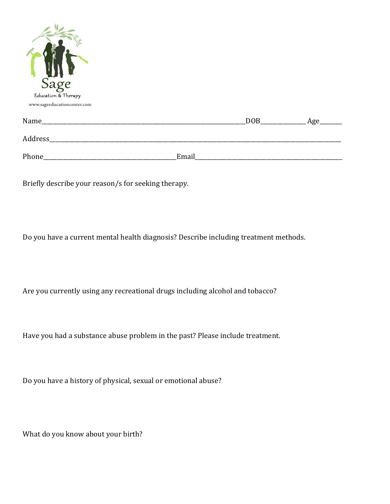| Sage<br>www.sageeducationcenter.com |     |     |
|-------------------------------------|-----|-----|
| Name_                               | DOB | Age |
| Address_                            |     |     |

Phone\_\_\_\_\_\_\_\_\_\_\_\_\_\_\_\_\_\_\_\_\_\_\_\_\_\_\_\_\_\_\_\_\_\_\_\_\_\_\_\_\_\_\_\_\_\_\_Email\_\_\_\_\_\_\_\_\_\_\_\_\_\_\_\_\_\_\_\_\_\_\_\_\_\_\_\_\_\_\_\_\_\_\_\_\_\_\_\_\_\_\_\_\_\_\_\_\_\_\_\_

Briefly describe your reason/s for seeking therapy.

Do you have a current mental health diagnosis? Describe including treatment methods.

Are you currently using any recreational drugs including alcohol and tobacco?

Have you had a substance abuse problem in the past? Please include treatment.

Do you have a history of physical, sexual or emotional abuse?

What do you know about your birth?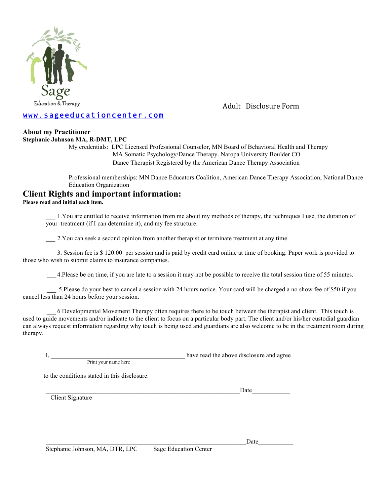

Adult Disclosure Form

## www.sageeducationcenter.com

### **About my Practitioner**

#### **Stephanie Johnson MA, R-DMT, LPC**

My credentials: LPC Licensed Professional Counselor, MN Board of Behavioral Health and Therapy MA Somatic Psychology/Dance Therapy. Naropa University Boulder CO Dance Therapist Registered by the American Dance Therapy Association

Professional memberships: MN Dance Educators Coalition, American Dance Therapy Association, National Dance Education Organization

## **Client Rights and important information:**

**Please read and initial each item.**

\_\_\_ 1.You are entitled to receive information from me about my methods of therapy, the techniques I use, the duration of your treatment (if I can determine it), and my fee structure.

\_\_\_ 2.You can seek a second opinion from another therapist or terminate treatment at any time.

 \_\_\_ 3. Session fee is \$ 120.00 per session and is paid by credit card online at time of booking. Paper work is provided to those who wish to submit claims to insurance companies.

\_\_\_ 4.Please be on time, if you are late to a session it may not be possible to receive the total session time of 55 minutes.

 \_\_\_ 5.Please do your best to cancel a session with 24 hours notice. Your card will be charged a no show fee of \$50 if you cancel less than 24 hours before your session.

 \_\_\_ 6 Developmental Movement Therapy often requires there to be touch between the therapist and client. This touch is used to guide movements and/or indicate to the client to focus on a particular body part. The client and/or his/her custodial guardian can always request information regarding why touch is being used and guardians are also welcome to be in the treatment room during therapy.

|                      | have read the above disclosure and agree |
|----------------------|------------------------------------------|
| Print your name here |                                          |

to the conditions stated in this disclosure.

Client Signature

 $\Box$ 

 $\Box$  Date